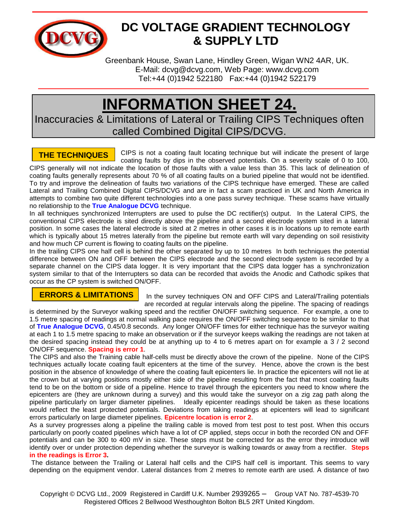

## **DC VOLTAGE GRADIENT TECHNOLOGY & SUPPLY LTD**

Greenbank House, Swan Lane, Hindley Green, Wigan WN2 4AR, UK. E-Mail: [dcvg@dcvg.com,](mailto:dcvg@dcvg.com) Web Page: [www.dcvg.com](http://www.dcvg.com/) Tel:+44 (0)1942 522180 Fax:+44 (0)1942 522179

## **INFORMATION SHEET 24.**

Inaccuracies & Limitations of Lateral or Trailing CIPS Techniques often called Combined Digital CIPS/DCVG.

CIPS is not a coating fault locating technique but will indicate the present of large coating faults by dips in the observed potentials. On a severity scale of 0 to 100, CIPS generally will not indicate the location of those faults with a value less than 35. This lack of delineation of **THE TECHNIQUES**

coating faults generally represents about 70 % of all coating faults on a buried pipeline that would not be identified. To try and improve the delineation of faults two variations of the CIPS technique have emerged. These are called Lateral and Trailing Combined Digital CIPS/DCVG and are in fact a scam practiced in UK and North America in attempts to combine two quite different technologies into a one pass survey technique. These scams have virtually no relationship to the **True Analogue DCVG** technique.

In all techniques synchronized Interrupters are used to pulse the DC rectifier(s) output. In the Lateral CIPS, the conventional CIPS electrode is sited directly above the pipeline and a second electrode system sited in a lateral position. In some cases the lateral electrode is sited at 2 metres in other cases it is in locations up to remote earth which is typically about 15 metres laterally from the pipeline but remote earth will vary depending on soil resistivity and how much CP current is flowing to coating faults on the pipeline.

In the trailing CIPS one half cell is behind the other separated by up to 10 metres In both techniques the potential difference between ON and OFF between the CIPS electrode and the second electrode system is recorded by a separate channel on the CIPS data logger. It is very important that the CIPS data logger has a synchronization system similar to that of the Interrupters so data can be recorded that avoids the Anodic and Cathodic spikes that occur as the CP system is switched ON/OFF.

## **ERRORS & LIMITATIONS**

In the survey techniques ON and OFF CIPS and Lateral/Trailing potentials are recorded at regular intervals along the pipeline. The spacing of readings

is determined by the Surveyor walking speed and the rectifier ON/OFF switching sequence. For example, a one to 1.5 metre spacing of readings at normal walking pace requires the ON/OFF switching sequence to be similar to that of **True Analogue DCVG**, 0.45/0.8 seconds. Any longer ON/OFF times for either technique has the surveyor waiting at each 1 to 1.5 metre spacing to make an observation or if the surveyor keeps walking the readings are not taken at the desired spacing instead they could be at anything up to 4 to 6 metres apart on for example a 3 / 2 second ON/OFF sequence. **Spacing is error 1**.

The CIPS and also the Training cable half-cells must be directly above the crown of the pipeline. None of the CIPS techniques actually locate coating fault epicenters at the time of the survey. Hence, above the crown is the best position in the absence of knowledge of where the coating fault epicenters lie. In practice the epicenters will not lie at the crown but at varying positions mostly either side of the pipeline resulting from the fact that most coating faults tend to be on the bottom or side of a pipeline. Hence to travel through the epicenters you need to know where the epicenters are (they are unknown during a survey) and this would take the surveyor on a zig zag path along the pipeline particularly on larger diameter pipelines. Ideally epicenter readings should be taken as these locations would reflect the least protected potentials. Deviations from taking readings at epicenters will lead to significant errors particularly on large diameter pipelines. **Epicentre location is error 2**.

As a survey progresses along a pipeline the trailing cable is moved from test post to test post. When this occurs particularly on poorly coated pipelines which have a lot of CP applied, steps occur in both the recorded ON and OFF potentials and can be 300 to 400 mV in size. These steps must be corrected for as the error they introduce will identify over or under protection depending whether the surveyor is walking towards or away from a rectifier. **Steps in the readings is Error 3.**

The distance between the Trailing or Lateral half cells and the CIPS half cell is important. This seems to vary depending on the equipment vendor. Lateral distances from 2 metres to remote earth are used. A distance of two